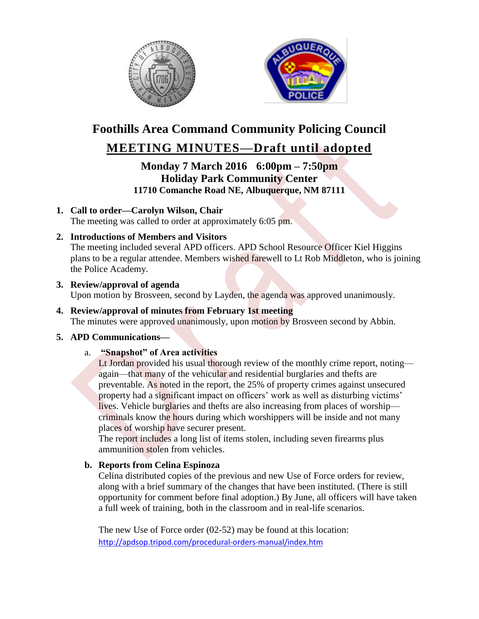



# **Foothills Area Command Community Policing Council**

# **MEETING MINUTES—Draft until adopted**

**Monday 7 March 2016 6:00pm – 7:50pm Holiday Park Community Center 11710 Comanche Road NE, Albuquerque, NM 87111**

- **1. Call to order—Carolyn Wilson, Chair** The meeting was called to order at approximately 6:05 pm.
- **2. Introductions of Members and Visitors**

The meeting included several APD officers. APD School Resource Officer Kiel Higgins plans to be a regular attendee. Members wished farewell to Lt Rob Middleton, who is joining the Police Academy.

**3. Review/approval of agenda**

Upon motion by Brosveen, second by Layden, the agenda was approved unanimously.

## **4. Review/approval of minutes from February 1st meeting**

The minutes were approved unanimously, upon motion by Brosveen second by Abbin.

#### **5. APD Communications—**

#### a. **"Snapshot" of Area activities**

Lt Jordan provided his usual thorough review of the monthly crime report, noting again—that many of the vehicular and residential burglaries and thefts are preventable. As noted in the report, the 25% of property crimes against unsecured property had a significant impact on officers' work as well as disturbing victims' lives. Vehicle burglaries and thefts are also increasing from places of worship criminals know the hours during which worshippers will be inside and not many places of worship have securer present.

The report includes a long list of items stolen, including seven firearms plus ammunition stolen from vehicles.

#### **b. Reports from Celina Espinoza**

Celina distributed copies of the previous and new Use of Force orders for review, along with a brief summary of the changes that have been instituted. (There is still opportunity for comment before final adoption.) By June, all officers will have taken a full week of training, both in the classroom and in real-life scenarios.

The new Use of Force order (02-52) may be found at this location: <http://apdsop.tripod.com/procedural-orders-manual/index.htm>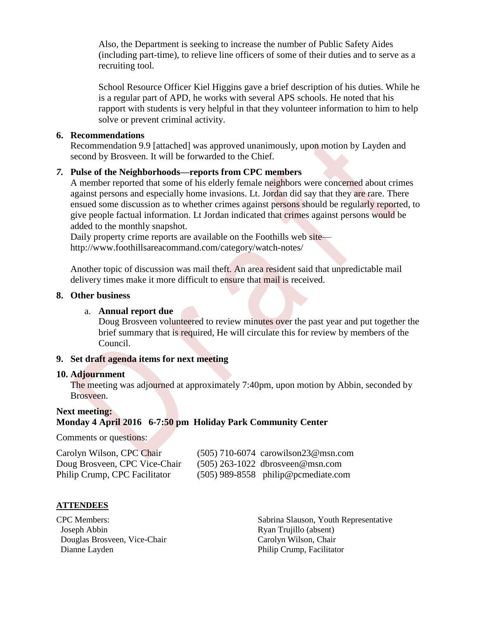Also, the Department is seeking to increase the number of Public Safety Aides (including part-time), to relieve line officers of some of their duties and to serve as a recruiting tool.

School Resource Officer Kiel Higgins gave a brief description of his duties. While he is a regular part of APD, he works with several APS schools. He noted that his rapport with students is very helpful in that they volunteer information to him to help solve or prevent criminal activity.

#### **6. Recommendations**

Recommendation 9.9 [attached] was approved unanimously, upon motion by Layden and second by Brosveen. It will be forwarded to the Chief.

#### *7.* **Pulse of the Neighborhoods—reports from CPC members**

A member reported that some of his elderly female neighbors were concerned about crimes against persons and especially home invasions. Lt. Jordan did say that they are rare. There ensued some discussion as to whether crimes against persons should be regularly reported, to give people factual information. Lt Jordan indicated that crimes against persons would be added to the monthly snapshot.

Daily property crime reports are available on the Foothills web site http://www.foothillsareacommand.com/category/watch-notes/

Another topic of discussion was mail theft. An area resident said that unpredictable mail delivery times make it more difficult to ensure that mail is received.

#### **8. Other business**

#### a. **Annual report due**

Doug Brosveen volunteered to review minutes over the past year and put together the brief summary that is required, He will circulate this for review by members of the Council.

#### **9. Set draft agenda items for next meeting**

#### **10. Adjournment**

The meeting was adjourned at approximately 7:40pm, upon motion by Abbin, seconded by Brosveen.

#### **Next meeting: Monday 4 April 2016 6-7:50 pm Holiday Park Community Center**

Comments or questions:

| Carolyn Wilson, CPC Chair     | $(505)$ 710-6074 carowilson23@msn.com |
|-------------------------------|---------------------------------------|
| Doug Brosveen, CPC Vice-Chair | $(505)$ 263-1022 dbrosveen@msn.com    |
| Philip Crump, CPC Facilitator | $(505)$ 989-8558 philip@pcmediate.com |

#### **ATTENDEES**

CPC Members: Joseph Abbin Douglas Brosveen, Vice-Chair Dianne Layden

 Sabrina Slauson, Youth Representative Ryan Trujillo (absent) Carolyn Wilson, Chair Philip Crump, Facilitator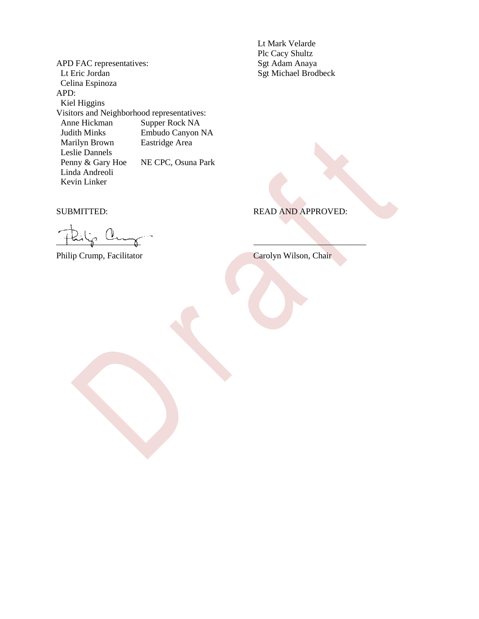APD FAC representatives: Lt Eric Jordan Celina Espinoza APD: Kiel Higgins Visitors and Neighborhood representatives: Anne Hickman Supper Rock NA Judith Minks<br>
Marilyn Brown<br>
Eastridge Area Marilyn Brown Leslie Dannels<br>Penny & Gary Hoe NE CPC, Osuna Park Linda Andreoli Kevin Linker

 Lt Mark Velarde Plc Cacy Shultz Sgt Adam Anaya Sgt Michael Brodbeck

SUBMITTED: READ AND APPROVED:

Philip Crump, Facilitator Carolyn Wilson, Chair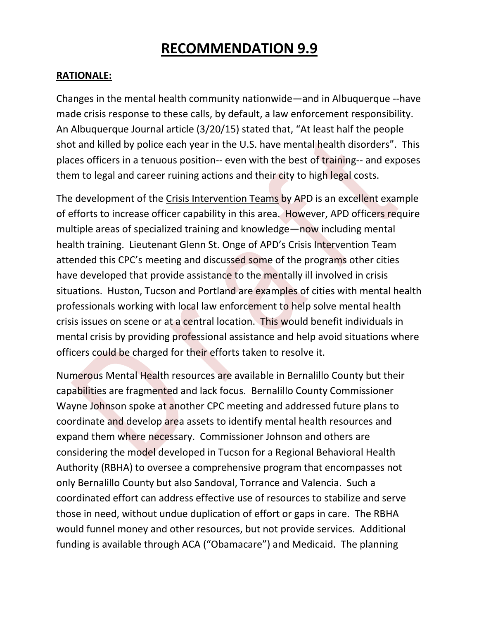# **RECOMMENDATION 9.9**

#### **RATIONALE:**

Changes in the mental health community nationwide—and in Albuquerque --have made crisis response to these calls, by default, a law enforcement responsibility. An Albuquerque Journal article (3/20/15) stated that, "At least half the people shot and killed by police each year in the U.S. have mental health disorders". This places officers in a tenuous position-- even with the best of training-- and exposes them to legal and career ruining actions and their city to high legal costs.

The development of the Crisis Intervention Teams by APD is an excellent example of efforts to increase officer capability in this area. However, APD officers require multiple areas of specialized training and knowledge—now including mental health training. Lieutenant Glenn St. Onge of APD's Crisis Intervention Team attended this CPC's meeting and discussed some of the programs other cities have developed that provide assistance to the mentally ill involved in crisis situations. Huston, Tucson and Portland are examples of cities with mental health professionals working with local law enforcement to help solve mental health crisis issues on scene or at a central location. This would benefit individuals in mental crisis by providing professional assistance and help avoid situations where officers could be charged for their efforts taken to resolve it.

Numerous Mental Health resources are available in Bernalillo County but their capabilities are fragmented and lack focus. Bernalillo County Commissioner Wayne Johnson spoke at another CPC meeting and addressed future plans to coordinate and develop area assets to identify mental health resources and expand them where necessary. Commissioner Johnson and others are considering the model developed in Tucson for a Regional Behavioral Health Authority (RBHA) to oversee a comprehensive program that encompasses not only Bernalillo County but also Sandoval, Torrance and Valencia. Such a coordinated effort can address effective use of resources to stabilize and serve those in need, without undue duplication of effort or gaps in care. The RBHA would funnel money and other resources, but not provide services. Additional funding is available through ACA ("Obamacare") and Medicaid. The planning